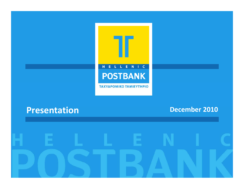

## **Presentation**

**December 2010**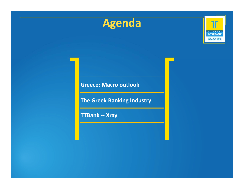



**Greece: Macro outlook**

**The Greek Banking Industry**

**TTBank ‐‐ Xray**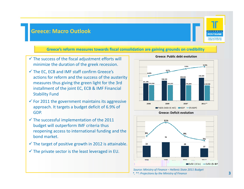### **Greece: Macro Outlook**



**3**

#### **Greece's reform measures towards fiscal consolidation are gaining grounds on credibility**

- $\checkmark$  The success of the fiscal adjustment efforts will minimize the duration of the greek recession.
- The EC, ECB and IMF staff confirm Greece's actions for reform and the success of the austerity measures thus giving the green light for the 3rd installment of the joint EC, ECB & IMF Financial Stability Fund
- $\checkmark$  For 2011 the government maintains its aggressive approach. It targets a budget deficit of 6.9% of<br>GDP.
- $\checkmark$  The successful implementation of the 2011 budget will outperform IMF criteria thus reopening access to international funding and the bond market.
- $\checkmark$  The target of positive growth in 2012 is attainable.
- $\checkmark$  The private sector is the least leveraged in EU.





*Source: Ministry of Finance – Hellenic State 2011 Budget \*, \*\*: Projections by the Ministry of Finance*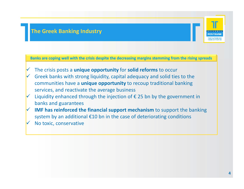### **The Greek Banking Industry**

**Banks are coping well with the crisis despite the decreasing margins stemming from the rising spreads**

- $\checkmark$ The crisis posts <sup>a</sup> **unique opportunity** for **solid reforms** to occur
- $\checkmark$  Greek banks with strong liquidity, capital adequacy and solid ties to the communities have <sup>a</sup> **unique opportunity** to recoup traditional banking services, and reactivate the average business
- $\checkmark$  Liquidity enhanced through the injection of € 25 bn by the government in banks and guarantees
- **IMF has reinforced the financial support mechanism** to support the banking system by an additional €10 bn in the case of deteriorating conditions  $\checkmark$ No toxic, conservative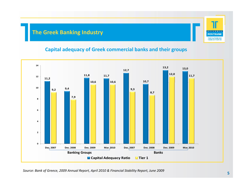### **The Greek Banking Industry**

### **Capital adequacy of Greek commercial banks and their groups**



*Source: Bank of Greece, 2009 Annual Report, April 2010 & Financial Stability Report, June 2009*

**POSTBANK TAXYAPOMIKO**<br>TAMIEYTHPIO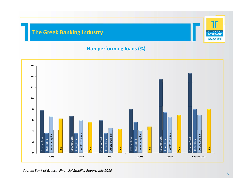### **The Greek Banking Industry**

### **Non performing loans (%)**



*Source: Bank of Greece, Financial Stability Report, July <sup>2010</sup>*

71

 $\begin{array}{cccccccccccccc} \textbf{L} & \textbf{L} & \textbf{L} & \textbf{L} & \textbf{R} & \textbf{N} & \textbf{I} \end{array}$ **POSTBANK TAXYAPOMIKO**<br>TAMIEYTHPIO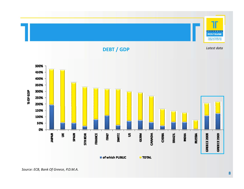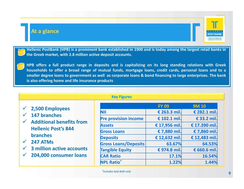### **At a glance**

•

•



Hellenic PostBank (HPB) is a prominent bank established in 1900 and is today among the largest retail banks in **the Greek market, with 2.8 million active deposit accounts.**

HPB offers a full product range in deposits and is capitalizing on its long standing relations with Greek households to offer a broad range of mutual funds, mortgage loans, credit cards, personal loans and to a smaller degree loans to government as well as corporate loans & bond financing to large enterprises. The bank **is also offering home and life insurance products**

|                                                                                                                                                                                                                                            | <b>Key Figures</b>          |               |               |
|--------------------------------------------------------------------------------------------------------------------------------------------------------------------------------------------------------------------------------------------|-----------------------------|---------------|---------------|
| 2,500 Employees                                                                                                                                                                                                                            |                             | <b>FY 09</b>  | <b>9M10</b>   |
| 147 branches<br><b>Additional benefits from</b><br>$\checkmark$<br><b>Hellenic Post's 844</b><br><b>branches</b><br>247 ATMs<br>$\checkmark$<br><b>3 million active accounts</b><br>$\checkmark$<br>204,000 consumer loans<br>$\checkmark$ | NII                         | € 263.3 mil.  | € 282.1 mil.  |
|                                                                                                                                                                                                                                            | <b>Pre provision income</b> | € 102.1 mil.  | € 33.2 mil.   |
|                                                                                                                                                                                                                                            | <b>Assets</b>               | € 17,956 mil. | € 17.390 mil. |
|                                                                                                                                                                                                                                            | <b>Gross Loans</b>          | € 7,880 mil.  | € 7,860 mil.  |
|                                                                                                                                                                                                                                            | <b>Deposits</b>             | € 12,632 mil. | € 12,483 mil. |
|                                                                                                                                                                                                                                            | <b>Gross Loans/Deposits</b> | 63.67%        | 64.53%        |
|                                                                                                                                                                                                                                            | <b>Tangible Equity</b>      | € 974.8 mil.  | € 660.6 mil.  |
|                                                                                                                                                                                                                                            | <b>CAR Ratio</b>            | 17.1%         | 16.54%        |
|                                                                                                                                                                                                                                            | <b>NPL Ratio</b> *          | 1.22%         | 1.44%         |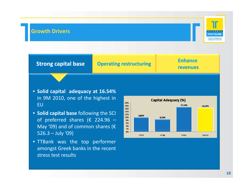### **Growth Drivers**



**Strong capital base Operating restructuring Enhance revenues** 

**Enhance** 

- **Solid capital adequacy at 16.54%** in 9M 2010, one of the highest in EU
- **Solid capital base** following the SCI of preferred shares ( $\epsilon$  224.96 -May '09) and of common shares (€ 526.3 – July '09)
- TTBank was the top performer amongst Greek banks in the recent stress test results

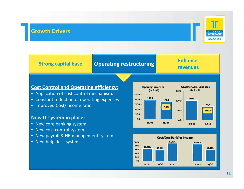### **Growth Drivers**



## **Strong capital base Operating restructuring Enhance revenues**

# **Enhance**

### **Cost Control and Operating efficiency:**

- Application of cost control mechanism.
- Constant reduction of operating expenses
- Improved Cost/income ratio

### **New IT system in place:**

- New core banking system
- New cost control system
- New payroll & HR management system
- New help desk system



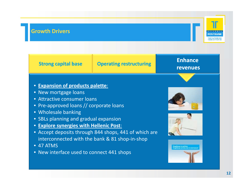### **Growth Drivers**



**Strong capital base Operating restructuring** 

## **Enhance revenues**

### • **Expansion of products palette**:

- New mortgage loans
- Attractive consumer loans
- Pre‐approved loans // corporate loans
- Wholesale banking
- SBLs planning and gradual expansion
- **Explore synergies with Hellenic Post**:
- Accept deposits through 844 shops, 441 of which are interconnected with the bank & 81 shop‐in‐shop
- 47 ATMS
- New interface used to connect 441 shops





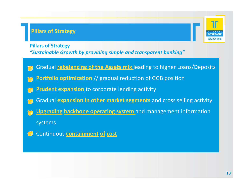## **Pillars of Strategy**

**Pillars of Strategy**

*"Sustainable Growth by providing simple and transparent banking"*

- •Gradual **rebalancing of the Assets mix** leading to higher Loans/Deposits
- •**Portfolio optimization** // gradual reduction of GGB position
- •**Prudent expansion** to corporate lending activity
- •Gradual **expansion in other market segments** and cross selling activity
- •**Upgrading backbone operating system** and management information

systems

 $\left( \frac{1}{\theta} \right)$ Continuous **containment of cost**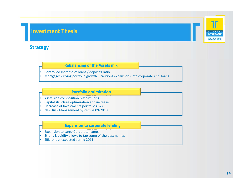### **Investment Thesis**

### **Strategy**

### **Rebalancing of the Assets mix**

• Controlled Increase of loans / deposits ratio

• Mortgages driving portfolio growth – cautions expansions into corporate / sbl loans

#### **Portfolio optimization**

- Asset side composition restructuring
- Capital structure optimization and increase
- Decrease of Investments portfolio risks
- New Risk Management System 2009‐2010

#### **Expansion to corporate lending**

- Expansion to Large Corporate names
- $\bullet$ Strong Liquidity allows to tap some of the best names
- SBL rollout expected spring 2011

**POSTRANK TAXYAPOMIKO**<br>TAMIEYTHPIO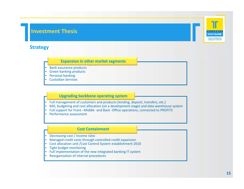### **Investment Thesis**

### **Strategy**

#### **Expansion in other market segments**

- Bank assurance products
- Green banking products
- •Personal banking
- •Custodian Services

#### **Upgrading backbone operating system**

- Full management of customers and products (lending, deposit, transfers, etc.)
- •• MIS, budgeting and cost allocation (on a development stage) and data warehouse system
- •Full support for Front –Middle ‐and Back ‐Office operations, connected to PROFITS
- •Performance assessment

#### **Cost Containment**

- Decreasing cost / income ratio
- Managed credit costs through controlled credit expansion
- Cost allocation unit /Cost Control System establishment 2010
- Tight budget monitoring
- Full implementation of the new integrated banking IT system
- Reorganization of internal procedures

**POSTRANK TAXYAPOMIKO**<br>TAMIEYTHPIO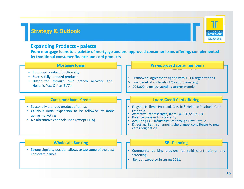### **Strategy & Outlook**

# **POSTRANI** TAXYAPOMIKO<br>TAMIEYTHPIO

### **Expanding Products ‐ palette**

**From mortgage loans to <sup>a</sup> palette of mortgage and pre‐approved consumer loans offering, complemented by traditional consumer finance and card products**

#### **Mortgage loans**

- Improved product functionality
- Successfully branded products
- Distributed through own branch network and Hellenic Post Office (ELTA)

#### **Consumer loans Credit**

- Seasonally branded product offering
- Cautious initial expansion to be followed by more active marketing
- No alternative channels used (except ELTA)

#### **Pre‐approved consumer loans**

- Framework agreement signed with 1,800 organizations
- gh own branch network and **computer than 1** > Low penetration levels (37% approximately)
	- > 204,000 loans outstanding approximately

#### **Loans Credit Card offering**

- Flagship Hellenic Postbank Classic & Hellenic Postbank Gold products
- Attractive interest rates, from 14.75% to 17.50%
- •• Balance transfer functionality
- •Acquiring POS infrastructure through First DataCo.
- Direct marketing channel is the biggest contributor to new cards origination

#### **Wholesale Banking**

• Strong Liquidity position allows to tap some of the best corporate names names.

#### **SBL Planning**

- Community banking provides for solid client referral and iscreening.
- •Rollout expected in spring 2011.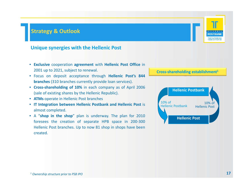### **Strategy & Outlook**

### **Unique synergies with the Hellenic Post**

- **Exclusive** cooperation **agreement** with **Hellenic Post Office** in 2001 up to 2021, subject to renewal.
- Focus on deposit acceptance through **Hellenic Post's 844 branches** (310 branches currently provide loan services).
- **Cross‐shareholding of 10%** in each company as of April 2006 (sale of existing shares by the Hellenic Republic).
- **ATMs** operate in Hellenic Post branches
- **10% of IT Integration between Hellenic Postbank and Hellenic Post is <b>A Property Additional Post Exercise Post Exercise Post Exercise Post Post Post Post Post Post Post Post Post Post P** almost completed.
- A "**shop in the shop**" plan is underway. The plan for 2010 foresees the creation of separate HPB space in 200‐300 Hellenic Post branches. Up to now 81 shop in shops have been created.



#### **Cross‐shareholding establishment1**